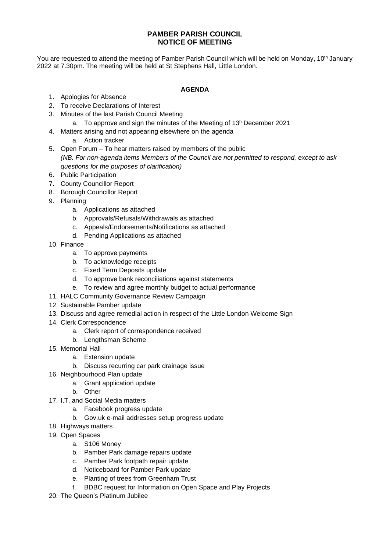## **PAMBER PARISH COUNCIL NOTICE OF MEETING**

You are requested to attend the meeting of Pamber Parish Council which will be held on Monday, 10<sup>th</sup> January 2022 at 7.30pm. The meeting will be held at St Stephens Hall, Little London.

## **AGENDA**

- 1. Apologies for Absence
- 2. To receive Declarations of Interest
- 3. Minutes of the last Parish Council Meeting
	- a. To approve and sign the minutes of the Meeting of  $13<sup>h</sup>$  December 2021
- 4. Matters arising and not appearing elsewhere on the agenda
	- a. Action tracker
- 5. Open Forum To hear matters raised by members of the public *(NB. For non-agenda items Members of the Council are not permitted to respond, except to ask questions for the purposes of clarification)*
- 6. Public Participation
- 7. County Councillor Report
- 8. Borough Councillor Report
- 9. Planning
	- a. Applications as attached
	- b. Approvals/Refusals/Withdrawals as attached
	- c. Appeals/Endorsements/Notifications as attached
	- d. Pending Applications as attached
- 10. Finance
	- a. To approve payments
	- b. To acknowledge receipts
	- c. Fixed Term Deposits update
	- d. To approve bank reconciliations against statements
	- e. To review and agree monthly budget to actual performance
- 11. HALC Community Governance Review Campaign
- 12. Sustainable Pamber update
- 13. Discuss and agree remedial action in respect of the Little London Welcome Sign
- 14. Clerk Correspondence
	- a. Clerk report of correspondence received
	- b. Lengthsman Scheme
- 15. Memorial Hall
	- a. Extension update
	- b. Discuss recurring car park drainage issue
- 16. Neighbourhood Plan update
	- a. Grant application update
	- b. Other
- 17. I.T. and Social Media matters
	- a. Facebook progress update
	- b. Gov.uk e-mail addresses setup progress update
- 18. Highways matters
- 19. Open Spaces
	- a. S106 Money
	- b. Pamber Park damage repairs update
	- c. Pamber Park footpath repair update
	- d. Noticeboard for Pamber Park update
	- e. Planting of trees from Greenham Trust
	- f. BDBC request for Information on Open Space and Play Projects
- 20. The Queen's Platinum Jubilee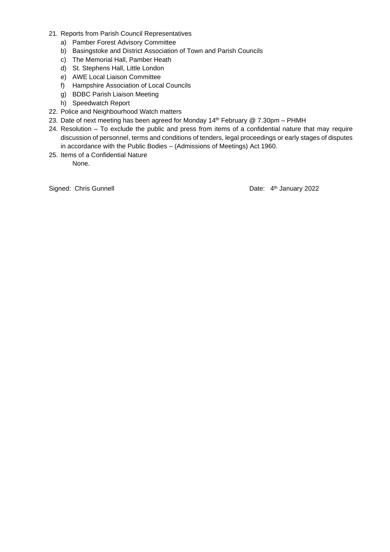- 21. Reports from Parish Council Representatives
	- a) Pamber Forest Advisory Committee
	- b) Basingstoke and District Association of Town and Parish Councils
	- c) The Memorial Hall, Pamber Heath
	- d) St. Stephens Hall, Little London
	- e) AWE Local Liaison Committee
	- f) Hampshire Association of Local Councils
	- g) BDBC Parish Liaison Meeting
	- h) Speedwatch Report
- 22. Police and Neighbourhood Watch matters
- 23. Date of next meeting has been agreed for Monday  $14<sup>th</sup>$  February @ 7.30pm PHMH
- 24. Resolution To exclude the public and press from items of a confidential nature that may require discussion of personnel, terms and conditions of tenders, legal proceedings or early stages of disputes in accordance with the Public Bodies – (Admissions of Meetings) Act 1960.
- 25. Items of a Confidential Nature None.

Signed: Chris Gunnell

Date: 4<sup>th</sup> January 2022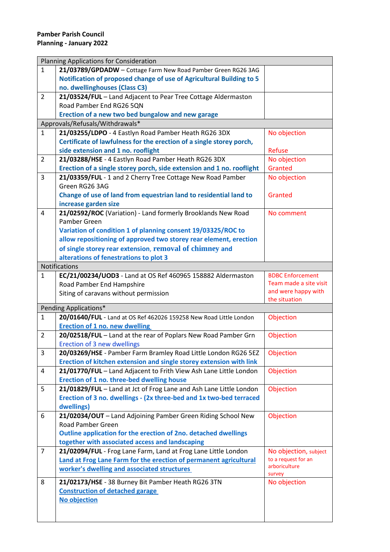| Planning Applications for Consideration |                                                                       |                         |  |
|-----------------------------------------|-----------------------------------------------------------------------|-------------------------|--|
| $\mathbf{1}$                            | 21/03789/GPDADW - Cottage Farm New Road Pamber Green RG26 3AG         |                         |  |
|                                         | Notification of proposed change of use of Agricultural Building to 5  |                         |  |
|                                         | no. dwellinghouses (Class C3)                                         |                         |  |
| $\overline{2}$                          | 21/03524/FUL - Land Adjacent to Pear Tree Cottage Aldermaston         |                         |  |
|                                         | Road Pamber End RG26 5QN                                              |                         |  |
|                                         | Erection of a new two bed bungalow and new garage                     |                         |  |
|                                         | Approvals/Refusals/Withdrawals*                                       |                         |  |
| $\mathbf{1}$                            | 21/03255/LDPO - 4 Eastlyn Road Pamber Heath RG26 3DX                  | No objection            |  |
|                                         | Certificate of lawfulness for the erection of a single storey porch,  |                         |  |
|                                         | side extension and 1 no. rooflight                                    | Refuse                  |  |
| 2                                       | 21/03288/HSE - 4 Eastlyn Road Pamber Heath RG26 3DX                   | No objection            |  |
|                                         | Erection of a single storey porch, side extension and 1 no. rooflight | Granted                 |  |
| 3                                       | 21/03359/FUL - 1 and 2 Cherry Tree Cottage New Road Pamber            | No objection            |  |
|                                         | Green RG26 3AG                                                        |                         |  |
|                                         | Change of use of land from equestrian land to residential land to     | Granted                 |  |
|                                         | increase garden size                                                  |                         |  |
| 4                                       | 21/02592/ROC (Variation) - Land formerly Brooklands New Road          | No comment              |  |
|                                         | Pamber Green                                                          |                         |  |
|                                         | Variation of condition 1 of planning consent 19/03325/ROC to          |                         |  |
|                                         | allow repositioning of approved two storey rear element, erection     |                         |  |
|                                         | of single storey rear extension, removal of chimney and               |                         |  |
|                                         | alterations of fenestrations to plot 3                                |                         |  |
|                                         | <b>Notifications</b>                                                  |                         |  |
| $\mathbf{1}$                            | EC/21/00234/UOD3 - Land at OS Ref 460965 158882 Aldermaston           | <b>BDBC Enforcement</b> |  |
|                                         | Road Pamber End Hampshire                                             | Team made a site visit  |  |
|                                         |                                                                       |                         |  |
|                                         |                                                                       | and were happy with     |  |
|                                         | Siting of caravans without permission                                 | the situation           |  |
|                                         | Pending Applications*                                                 |                         |  |
| $\mathbf{1}$                            | 20/01640/FUL - Land at OS Ref 462026 159258 New Road Little London    | Objection               |  |
|                                         | <b>Erection of 1 no. new dwelling</b>                                 |                         |  |
| $\overline{2}$                          | 20/02518/FUL - Land at the rear of Poplars New Road Pamber Grn        | Objection               |  |
|                                         | Erection of 3 new dwellings                                           |                         |  |
| 3                                       | 20/03269/HSE - Pamber Farm Bramley Road Little London RG26 5EZ        | Objection               |  |
|                                         | Erection of kitchen extension and single storey extension with link   |                         |  |
| 4                                       | 21/01770/FUL - Land Adjacent to Frith View Ash Lane Little London     | Objection               |  |
|                                         | Erection of 1 no. three-bed dwelling house                            |                         |  |
| 5                                       | 21/01829/FUL - Land at Jct of Frog Lane and Ash Lane Little London    | Objection               |  |
|                                         | Erection of 3 no. dwellings - (2x three-bed and 1x two-bed terraced   |                         |  |
|                                         | dwellings)                                                            |                         |  |
| 6                                       | 21/02034/OUT - Land Adjoining Pamber Green Riding School New          | Objection               |  |
|                                         | <b>Road Pamber Green</b>                                              |                         |  |
|                                         | Outline application for the erection of 2no. detached dwellings       |                         |  |
|                                         | together with associated access and landscaping                       |                         |  |
| $\overline{7}$                          | 21/02094/FUL - Frog Lane Farm, Land at Frog Lane Little London        | No objection, subject   |  |
|                                         | Land at Frog Lane Farm for the erection of permanent agricultural     | to a request for an     |  |
|                                         | worker's dwelling and associated structures                           | arboriculture           |  |
|                                         |                                                                       | survey                  |  |
| 8                                       | 21/02173/HSE - 38 Burney Bit Pamber Heath RG26 3TN                    | No objection            |  |
|                                         | <b>Construction of detached garage</b>                                |                         |  |
|                                         | <b>No objection</b>                                                   |                         |  |
|                                         |                                                                       |                         |  |